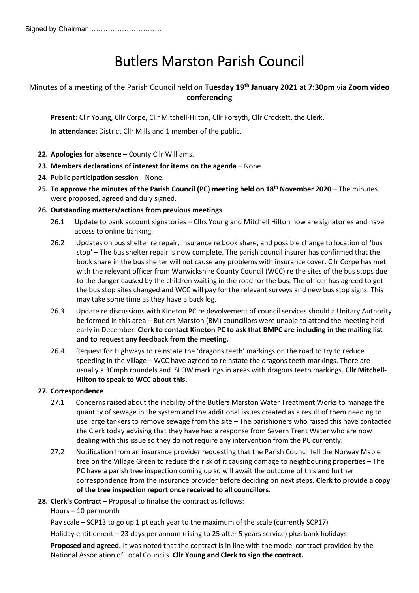# Butlers Marston Parish Council

# Minutes of a meeting of the Parish Council held on **Tuesday 19th January 2021** at **7:30pm** via **Zoom video conferencing**

**Present:** Cllr Young, Cllr Corpe, Cllr Mitchell-Hilton, Cllr Forsyth, Cllr Crockett, the Clerk.

**In attendance:** District Cllr Mills and 1 member of the public.

- **22. Apologies for absence** County Cllr Williams.
- **23. Members declarations of interest for items on the agenda** None.
- **24. Public participation session** None.
- **25. To approve the minutes of the Parish Council (PC) meeting held on 18th November 2020** The minutes were proposed, agreed and duly signed.

# **26. Outstanding matters/actions from previous meetings**

- 26.1 Update to bank account signatories Cllrs Young and Mitchell Hilton now are signatories and have access to online banking.
- 26.2 Updates on bus shelter re repair, insurance re book share, and possible change to location of 'bus stop' – The bus shelter repair is now complete. The parish council insurer has confirmed that the book share in the bus shelter will not cause any problems with insurance cover. Cllr Corpe has met with the relevant officer from Warwickshire County Council (WCC) re the sites of the bus stops due to the danger caused by the children waiting in the road for the bus. The officer has agreed to get the bus stop sites changed and WCC will pay for the relevant surveys and new bus stop signs. This may take some time as they have a back log.
- 26.3 Update re discussions with Kineton PC re devolvement of council services should a Unitary Authority be formed in this area – Butlers Marston (BM) councillors were unable to attend the meeting held early in December. **Clerk to contact Kineton PC to ask that BMPC are including in the mailing list and to request any feedback from the meeting.**
- 26.4 Request for Highways to reinstate the 'dragons teeth' markings on the road to try to reduce speeding in the village – WCC have agreed to reinstate the dragons teeth markings. There are usually a 30mph roundels and SLOW markings in areas with dragons teeth markings. **Cllr Mitchell-Hilton to speak to WCC about this.**

# **27. Correspondence**

- 27.1 Concerns raised about the inability of the Butlers Marston Water Treatment Works to manage the quantity of sewage in the system and the additional issues created as a result of them needing to use large tankers to remove sewage from the site – The parishioners who raised this have contacted the Clerk today advising that they have had a response from Severn Trent Water who are now dealing with this issue so they do not require any intervention from the PC currently.
- 27.2 Notification from an insurance provider requesting that the Parish Council fell the Norway Maple tree on the Village Green to reduce the risk of it causing damage to neighbouring properties – The PC have a parish tree inspection coming up so will await the outcome of this and further correspondence from the insurance provider before deciding on next steps. **Clerk to provide a copy of the tree inspection report once received to all councillors.**
- **28. Clerk's Contract** Proposal to finalise the contract as follows:
	- Hours 10 per month

Pay scale – SCP13 to go up 1 pt each year to the maximum of the scale (currently SCP17)

Holiday entitlement – 23 days per annum (rising to 25 after 5 years service) plus bank holidays

**Proposed and agreed.** It was noted that the contract is in line with the model contract provided by the National Association of Local Councils. **Cllr Young and Clerk to sign the contract.**